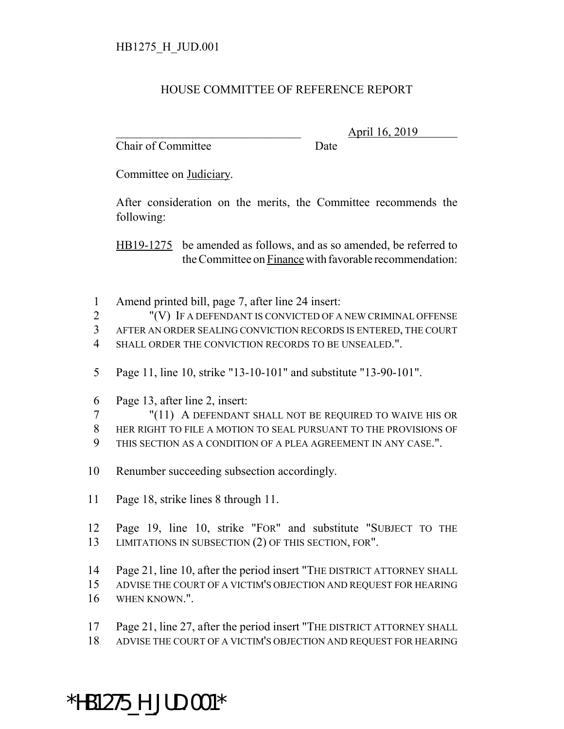## HOUSE COMMITTEE OF REFERENCE REPORT

Chair of Committee Date

\_\_\_\_\_\_\_\_\_\_\_\_\_\_\_\_\_\_\_\_\_\_\_\_\_\_\_\_\_\_\_ April 16, 2019

Committee on Judiciary.

After consideration on the merits, the Committee recommends the following:

HB19-1275 be amended as follows, and as so amended, be referred to the Committee on Finance with favorable recommendation:

Amend printed bill, page 7, after line 24 insert:

 "(V) IF A DEFENDANT IS CONVICTED OF A NEW CRIMINAL OFFENSE AFTER AN ORDER SEALING CONVICTION RECORDS IS ENTERED, THE COURT 4 SHALL ORDER THE CONVICTION RECORDS TO BE UNSEALED.".

- 
- Page 11, line 10, strike "13-10-101" and substitute "13-90-101".
- Page 13, after line 2, insert:

 "(11) A DEFENDANT SHALL NOT BE REQUIRED TO WAIVE HIS OR HER RIGHT TO FILE A MOTION TO SEAL PURSUANT TO THE PROVISIONS OF THIS SECTION AS A CONDITION OF A PLEA AGREEMENT IN ANY CASE.".

- Renumber succeeding subsection accordingly.
- Page 18, strike lines 8 through 11.
- Page 19, line 10, strike "FOR" and substitute "SUBJECT TO THE LIMITATIONS IN SUBSECTION (2) OF THIS SECTION, FOR".
- Page 21, line 10, after the period insert "THE DISTRICT ATTORNEY SHALL
- ADVISE THE COURT OF A VICTIM'S OBJECTION AND REQUEST FOR HEARING
- WHEN KNOWN.".
- Page 21, line 27, after the period insert "THE DISTRICT ATTORNEY SHALL
- ADVISE THE COURT OF A VICTIM'S OBJECTION AND REQUEST FOR HEARING

## \*HB1275\_H\_JUD.001\*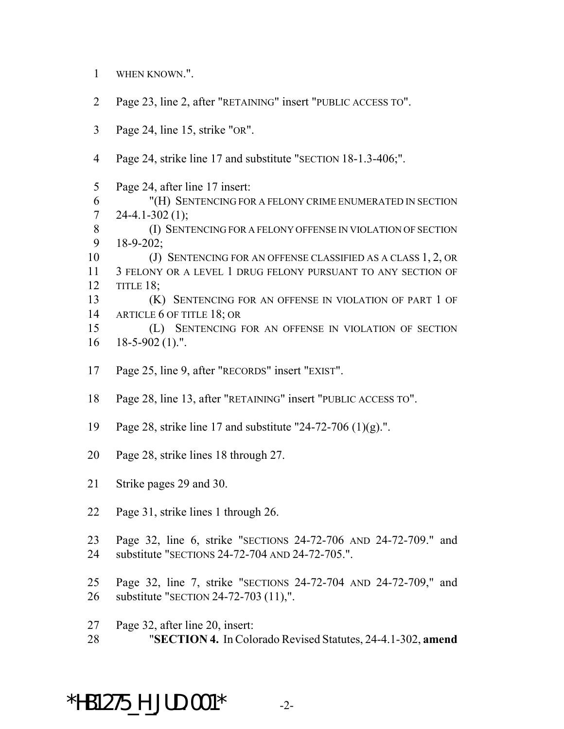- WHEN KNOWN.".
- Page 23, line 2, after "RETAINING" insert "PUBLIC ACCESS TO".
- Page 24, line 15, strike "OR".
- Page 24, strike line 17 and substitute "SECTION 18-1.3-406;".

 Page 24, after line 17 insert: "(H) SENTENCING FOR A FELONY CRIME ENUMERATED IN SECTION 7 24-4.1-302 $(1)$ ; (I) SENTENCING FOR A FELONY OFFENSE IN VIOLATION OF SECTION 18-9-202; (J) SENTENCING FOR AN OFFENSE CLASSIFIED AS A CLASS 1, 2, OR 3 FELONY OR A LEVEL 1 DRUG FELONY PURSUANT TO ANY SECTION OF TITLE 18; (K) SENTENCING FOR AN OFFENSE IN VIOLATION OF PART 1 OF 14 ARTICLE 6 OF TITLE 18; OR (L) SENTENCING FOR AN OFFENSE IN VIOLATION OF SECTION 18-5-902 (1).".

- Page 25, line 9, after "RECORDS" insert "EXIST".
- Page 28, line 13, after "RETAINING" insert "PUBLIC ACCESS TO".
- Page 28, strike line 17 and substitute "24-72-706 (1)(g).".
- Page 28, strike lines 18 through 27.
- Strike pages 29 and 30.
- Page 31, strike lines 1 through 26.
- Page 32, line 6, strike "SECTIONS 24-72-706 AND 24-72-709." and substitute "SECTIONS 24-72-704 AND 24-72-705.".
- Page 32, line 7, strike "SECTIONS 24-72-704 AND 24-72-709," and substitute "SECTION 24-72-703 (11),".
- Page 32, after line 20, insert:
- "**SECTION 4.** In Colorado Revised Statutes, 24-4.1-302, **amend**

\*HB1275 H JUD.001\*  $-2$ -